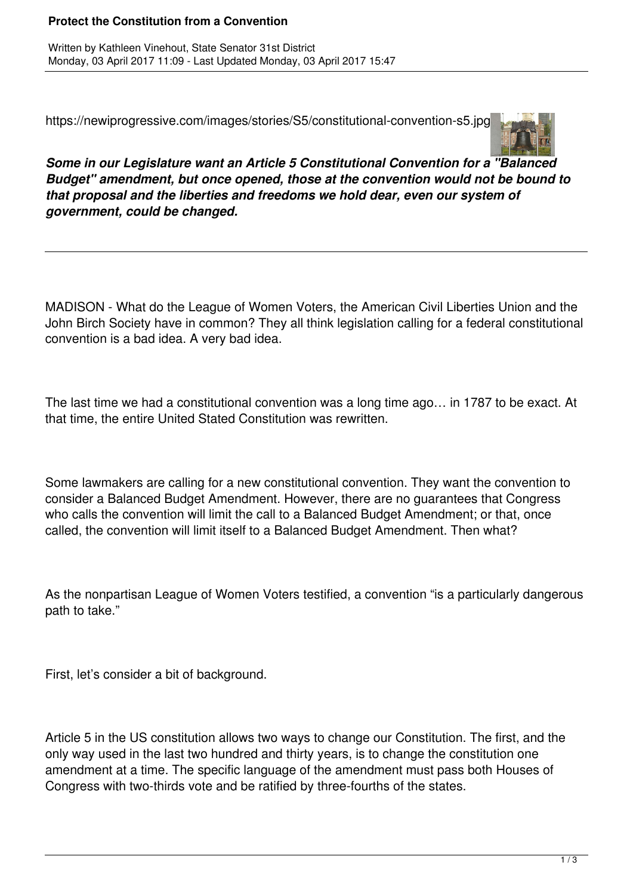## **Protect the Constitution from a Convention**

Written by Kathleen Vinehout, State Senator 31st District Monday, 03 April 2017 11:09 - Last Updated Monday, 03 April 2017 15:47

https://newiprogressive.com/images/stories/S5/constitutional-convention-s5.jpg



*Some in our Legislature want an Article 5 Constitutional Convention for a "Balanced Budget" amendment, but once opened, those at the convention would not be bound to that proposal and the liberties and freedoms we hold dear, even our system of government, could be changed.*

MADISON - What do the League of Women Voters, the American Civil Liberties Union and the John Birch Society have in common? They all think legislation calling for a federal constitutional convention is a bad idea. A very bad idea.

The last time we had a constitutional convention was a long time ago… in 1787 to be exact. At that time, the entire United Stated Constitution was rewritten.

Some lawmakers are calling for a new constitutional convention. They want the convention to consider a Balanced Budget Amendment. However, there are no guarantees that Congress who calls the convention will limit the call to a Balanced Budget Amendment; or that, once called, the convention will limit itself to a Balanced Budget Amendment. Then what?

As the nonpartisan League of Women Voters testified, a convention "is a particularly dangerous path to take."

First, let's consider a bit of background.

Article 5 in the US constitution allows two ways to change our Constitution. The first, and the only way used in the last two hundred and thirty years, is to change the constitution one amendment at a time. The specific language of the amendment must pass both Houses of Congress with two-thirds vote and be ratified by three-fourths of the states.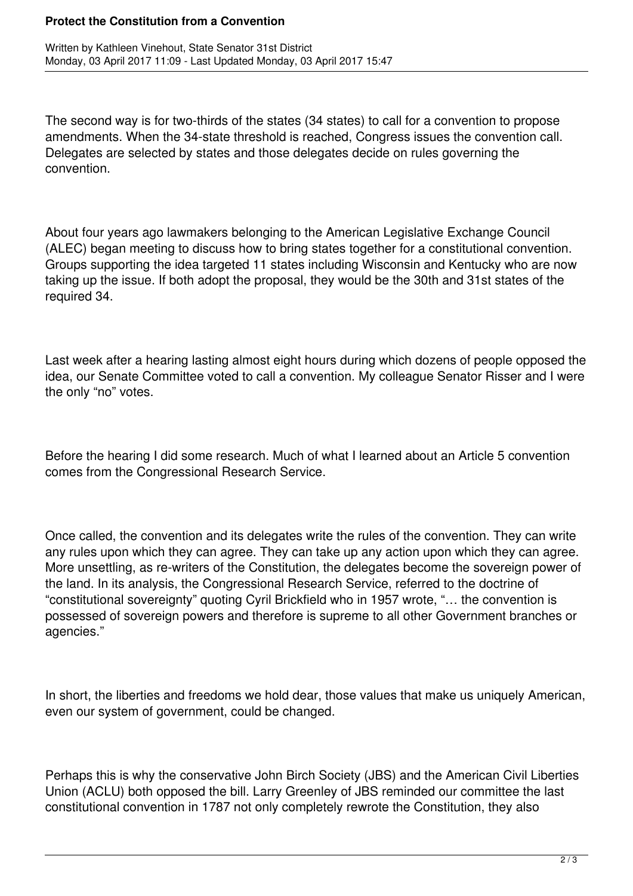## **Protect the Constitution from a Convention**

The second way is for two-thirds of the states (34 states) to call for a convention to propose amendments. When the 34-state threshold is reached, Congress issues the convention call. Delegates are selected by states and those delegates decide on rules governing the convention.

About four years ago lawmakers belonging to the American Legislative Exchange Council (ALEC) began meeting to discuss how to bring states together for a constitutional convention. Groups supporting the idea targeted 11 states including Wisconsin and Kentucky who are now taking up the issue. If both adopt the proposal, they would be the 30th and 31st states of the required 34.

Last week after a hearing lasting almost eight hours during which dozens of people opposed the idea, our Senate Committee voted to call a convention. My colleague Senator Risser and I were the only "no" votes.

Before the hearing I did some research. Much of what I learned about an Article 5 convention comes from the Congressional Research Service.

Once called, the convention and its delegates write the rules of the convention. They can write any rules upon which they can agree. They can take up any action upon which they can agree. More unsettling, as re-writers of the Constitution, the delegates become the sovereign power of the land. In its analysis, the Congressional Research Service, referred to the doctrine of "constitutional sovereignty" quoting Cyril Brickfield who in 1957 wrote, "… the convention is possessed of sovereign powers and therefore is supreme to all other Government branches or agencies."

In short, the liberties and freedoms we hold dear, those values that make us uniquely American, even our system of government, could be changed.

Perhaps this is why the conservative John Birch Society (JBS) and the American Civil Liberties Union (ACLU) both opposed the bill. Larry Greenley of JBS reminded our committee the last constitutional convention in 1787 not only completely rewrote the Constitution, they also